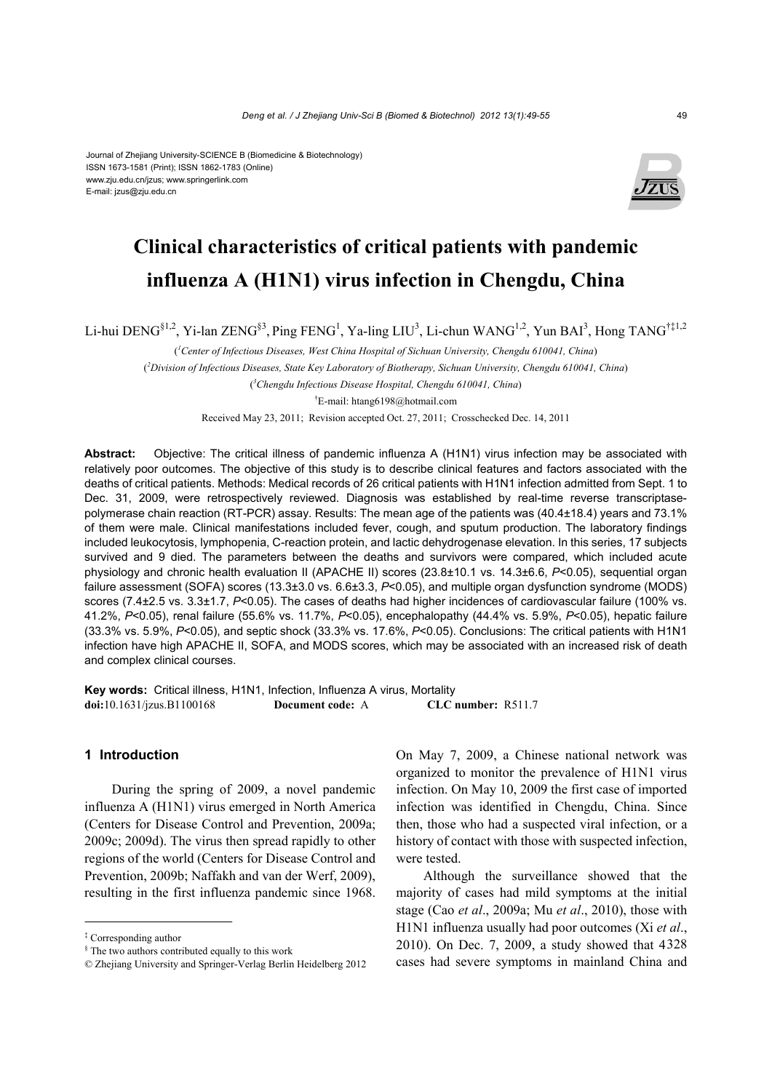#### Journal of Zhejiang University-SCIENCE B (Biomedicine & Biotechnology) ISSN 1673-1581 (Print); ISSN 1862-1783 (Online) www.zju.edu.cn/jzus; www.springerlink.com E-mail: jzus@zju.edu.cn



# **Clinical characteristics of critical patients with pandemic influenza A (H1N1) virus infection in Chengdu, China**

Li-hui DENG<sup>§1,2</sup>, Yi-lan ZENG<sup>§3</sup>, Ping FENG<sup>1</sup>, Ya-ling LIU<sup>3</sup>, Li-chun WANG<sup>1,2</sup>, Yun BAI<sup>3</sup>, Hong TANG<sup>†‡1,2</sup>

( *1 Center of Infectious Diseases, West China Hospital of Sichuan University, Chengdu 610041, China*)

( *2 Division of Infectious Diseases, State Key Laboratory of Biotherapy, Sichuan University, Chengdu 610041, China*)

( *3 Chengdu Infectious Disease Hospital, Chengdu 610041, China*)

† E-mail: htang6198@hotmail.com

Received May 23, 2011; Revision accepted Oct. 27, 2011; Crosschecked Dec. 14, 2011

**Abstract:** Objective: The critical illness of pandemic influenza A (H1N1) virus infection may be associated with relatively poor outcomes. The objective of this study is to describe clinical features and factors associated with the deaths of critical patients. Methods: Medical records of 26 critical patients with H1N1 infection admitted from Sept. 1 to Dec. 31, 2009, were retrospectively reviewed. Diagnosis was established by real-time reverse transcriptasepolymerase chain reaction (RT-PCR) assay. Results: The mean age of the patients was (40.4±18.4) years and 73.1% of them were male. Clinical manifestations included fever, cough, and sputum production. The laboratory findings included leukocytosis, lymphopenia, C-reaction protein, and lactic dehydrogenase elevation. In this series, 17 subjects survived and 9 died. The parameters between the deaths and survivors were compared, which included acute physiology and chronic health evaluation II (APACHE II) scores (23.8±10.1 vs. 14.3±6.6, *P*<0.05), sequential organ failure assessment (SOFA) scores (13.3±3.0 vs. 6.6±3.3, *P*<0.05), and multiple organ dysfunction syndrome (MODS) scores (7.4±2.5 vs. 3.3±1.7, *P*<0.05). The cases of deaths had higher incidences of cardiovascular failure (100% vs. 41.2%, *P*<0.05), renal failure (55.6% vs. 11.7%, *P*<0.05), encephalopathy (44.4% vs. 5.9%, *P*<0.05), hepatic failure (33.3% vs. 5.9%, *P*<0.05), and septic shock (33.3% vs. 17.6%, *P*<0.05). Conclusions: The critical patients with H1N1 infection have high APACHE II, SOFA, and MODS scores, which may be associated with an increased risk of death and complex clinical courses.

**Key words:** Critical illness, H1N1, Infection, Influenza A virus, Mortality **doi:**10.1631/jzus.B1100168 **Document code:** A **CLC number:** R511.7

## **1 Introduction**

During the spring of 2009, a novel pandemic influenza A (H1N1) virus emerged in North America (Centers for Disease Control and Prevention, 2009a; 2009c; 2009d). The virus then spread rapidly to other regions of the world (Centers for Disease Control and Prevention, 2009b; Naffakh and van der Werf, 2009), resulting in the first influenza pandemic since 1968.

On May 7, 2009, a Chinese national network was organized to monitor the prevalence of H1N1 virus infection. On May 10, 2009 the first case of imported infection was identified in Chengdu, China. Since then, those who had a suspected viral infection, or a history of contact with those with suspected infection, were tested.

Although the surveillance showed that the majority of cases had mild symptoms at the initial stage (Cao *et al*., 2009a; Mu *et al*., 2010), those with H1N1 influenza usually had poor outcomes (Xi *et al*., 2010). On Dec. 7, 2009, a study showed that 4328 cases had severe symptoms in mainland China and

<sup>‡</sup> Corresponding author

<sup>§</sup> The two authors contributed equally to this work

<sup>©</sup> Zhejiang University and Springer-Verlag Berlin Heidelberg 2012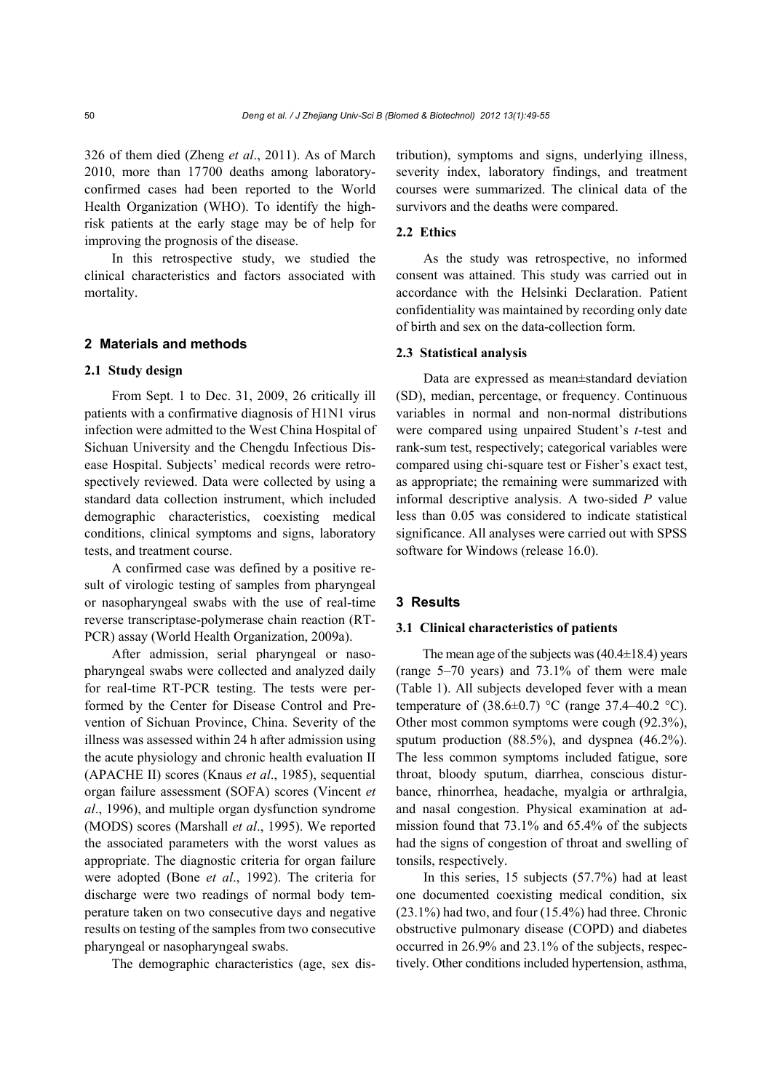326 of them died (Zheng *et al*., 2011). As of March 2010, more than 17700 deaths among laboratoryconfirmed cases had been reported to the World Health Organization (WHO). To identify the highrisk patients at the early stage may be of help for improving the prognosis of the disease.

In this retrospective study, we studied the clinical characteristics and factors associated with mortality.

# **2 Materials and methods**

#### **2.1 Study design**

From Sept. 1 to Dec. 31, 2009, 26 critically ill patients with a confirmative diagnosis of H1N1 virus infection were admitted to the West China Hospital of Sichuan University and the Chengdu Infectious Disease Hospital. Subjects' medical records were retrospectively reviewed. Data were collected by using a standard data collection instrument, which included demographic characteristics, coexisting medical conditions, clinical symptoms and signs, laboratory tests, and treatment course.

A confirmed case was defined by a positive result of virologic testing of samples from pharyngeal or nasopharyngeal swabs with the use of real-time reverse transcriptase-polymerase chain reaction (RT-PCR) assay (World Health Organization, 2009a).

After admission, serial pharyngeal or nasopharyngeal swabs were collected and analyzed daily for real-time RT-PCR testing. The tests were performed by the Center for Disease Control and Prevention of Sichuan Province, China. Severity of the illness was assessed within 24 h after admission using the acute physiology and chronic health evaluation II (APACHE II) scores (Knaus *et al*., 1985), sequential organ failure assessment (SOFA) scores (Vincent *et al*., 1996), and multiple organ dysfunction syndrome (MODS) scores (Marshall *et al*., 1995). We reported the associated parameters with the worst values as appropriate. The diagnostic criteria for organ failure were adopted (Bone *et al*., 1992). The criteria for discharge were two readings of normal body temperature taken on two consecutive days and negative results on testing of the samples from two consecutive pharyngeal or nasopharyngeal swabs.

The demographic characteristics (age, sex dis-

tribution), symptoms and signs, underlying illness, severity index, laboratory findings, and treatment courses were summarized. The clinical data of the survivors and the deaths were compared.

# **2.2 Ethics**

As the study was retrospective, no informed consent was attained. This study was carried out in accordance with the Helsinki Declaration. Patient confidentiality was maintained by recording only date of birth and sex on the data-collection form.

#### **2.3 Statistical analysis**

Data are expressed as mean±standard deviation (SD), median, percentage, or frequency. Continuous variables in normal and non-normal distributions were compared using unpaired Student's *t*-test and rank-sum test, respectively; categorical variables were compared using chi-square test or Fisher's exact test, as appropriate; the remaining were summarized with informal descriptive analysis. A two-sided *P* value less than 0.05 was considered to indicate statistical significance. All analyses were carried out with SPSS software for Windows (release 16.0).

### **3 Results**

#### **3.1 Clinical characteristics of patients**

The mean age of the subjects was  $(40.4\pm18.4)$  years (range  $5-70$  years) and  $73.1\%$  of them were male (Table 1). All subjects developed fever with a mean temperature of  $(38.6\pm0.7)$  °C (range 37.4–40.2 °C). Other most common symptoms were cough (92.3%), sputum production (88.5%), and dyspnea (46.2%). The less common symptoms included fatigue, sore throat, bloody sputum, diarrhea, conscious disturbance, rhinorrhea, headache, myalgia or arthralgia, and nasal congestion. Physical examination at admission found that 73.1% and 65.4% of the subjects had the signs of congestion of throat and swelling of tonsils, respectively.

In this series, 15 subjects (57.7%) had at least one documented coexisting medical condition, six (23.1%) had two, and four (15.4%) had three. Chronic obstructive pulmonary disease (COPD) and diabetes occurred in 26.9% and 23.1% of the subjects, respectively. Other conditions included hypertension, asthma,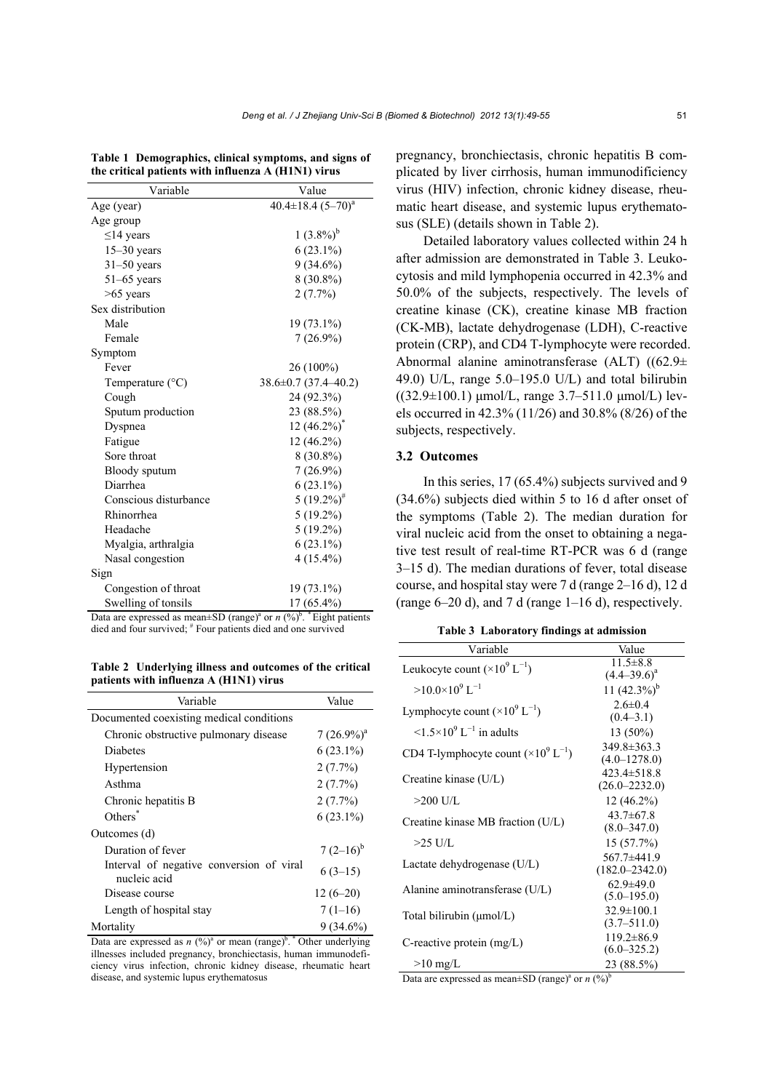| Variable                  | Value                      |
|---------------------------|----------------------------|
| Age (year)                | $40.4 \pm 18.4~(5 - 70)^a$ |
| Age group                 |                            |
| $\leq$ 14 years           | $1(3.8\%)^b$               |
| $15-30$ years             | $6(23.1\%)$                |
| $31-50$ years             | $9(34.6\%)$                |
| $51-65$ years             | $8(30.8\%)$                |
| $>65$ years               | 2(7.7%)                    |
| Sex distribution          |                            |
| Male                      | 19 (73.1%)                 |
| Female                    | $7(26.9\%)$                |
| Symptom                   |                            |
| Fever                     | $26(100\%)$                |
| Temperature $(^{\circ}C)$ | $38.6 \pm 0.7$ (37.4-40.2) |
| Cough                     | 24 (92.3%)                 |
| Sputum production         | 23 (88.5%)                 |
| Dyspnea                   | $12(46.2\%)^*$             |
| Fatigue                   | 12 (46.2%)                 |
| Sore throat               | $8(30.8\%)$                |
| Bloody sputum             | $7(26.9\%)$                |
| Diarrhea                  | $6(23.1\%)$                |
| Conscious disturbance     | $5(19.2\%)^{\#}$           |
| Rhinorrhea                | $5(19.2\%)$                |
| Headache                  | $5(19.2\%)$                |
| Myalgia, arthralgia       | $6(23.1\%)$                |
| Nasal congestion          | $4(15.4\%)$                |
| Sign                      |                            |
| Congestion of throat      | 19 (73.1%)                 |
| Swelling of tonsils       | 17 (65.4%)                 |

**Table 1 Demographics, clinical symptoms, and signs of the critical patients with influenza A (H1N1) virus**

Data are expressed as mean $\pm$ SD (range)<sup>a</sup> or *n* (%)<sup>b</sup>. \* Eight patients died and four survived; # Four patients died and one survived

**Table 2 Underlying illness and outcomes of the critical patients with influenza A (H1N1) virus**

| Variable                                                 | Value         |  |  |  |
|----------------------------------------------------------|---------------|--|--|--|
| Documented coexisting medical conditions                 |               |  |  |  |
| Chronic obstructive pulmonary disease                    | $7(26.9\%)^a$ |  |  |  |
| <b>Diabetes</b>                                          | $6(23.1\%)$   |  |  |  |
| Hypertension                                             | $2(7.7\%)$    |  |  |  |
| Asthma                                                   | 2(7.7%)       |  |  |  |
| Chronic hepatitis B                                      | $2(7.7\%)$    |  |  |  |
| Others <sup>*</sup>                                      | $6(23.1\%)$   |  |  |  |
| Outcomes (d)                                             |               |  |  |  |
| Duration of fever                                        | $7(2-16)^{6}$ |  |  |  |
| Interval of negative conversion of viral<br>nucleic acid | $6(3-15)$     |  |  |  |
| Disease course                                           | $12(6-20)$    |  |  |  |
| Length of hospital stay                                  | $7(1-16)$     |  |  |  |
| Mortality                                                | $9(34.6\%)$   |  |  |  |

Data are expressed as  $n \left(\frac{9}{6}\right)^a$  or mean (range)<sup>b</sup>. <sup>\*</sup> Other underlying illnesses included pregnancy, bronchiectasis, human immunodeficiency virus infection, chronic kidney disease, rheumatic heart disease, and systemic lupus erythematosus

pregnancy, bronchiectasis, chronic hepatitis B complicated by liver cirrhosis, human immunodificiency virus (HIV) infection, chronic kidney disease, rheumatic heart disease, and systemic lupus erythematosus (SLE) (details shown in Table 2).

Detailed laboratory values collected within 24 h after admission are demonstrated in Table 3. Leukocytosis and mild lymphopenia occurred in 42.3% and 50.0% of the subjects, respectively. The levels of creatine kinase (CK), creatine kinase MB fraction (CK-MB), lactate dehydrogenase (LDH), C-reactive protein (CRP), and CD4 T-lymphocyte were recorded. Abnormal alanine aminotransferase (ALT) ((62.9± 49.0) U/L, range  $5.0-195.0$  U/L) and total bilirubin  $((32.9\pm100.1) \text{ }\mu\text{mol/L}, \text{ range } 3.7-511.0 \text{ }\mu\text{mol/L}) \text{ lev-}$ els occurred in 42.3% (11/26) and 30.8% (8/26) of the subjects, respectively.

### **3.2 Outcomes**

In this series, 17 (65.4%) subjects survived and 9 (34.6%) subjects died within 5 to 16 d after onset of the symptoms (Table 2). The median duration for viral nucleic acid from the onset to obtaining a negative test result of real-time RT-PCR was 6 d (range 3‒15 d). The median durations of fever, total disease course, and hospital stay were  $7 d$  (range  $2-16 d$ ), 12 d (range  $6-20$  d), and 7 d (range  $1-16$  d), respectively.

| <b>Table 3 Laboratory findings at admission</b> |  |  |  |  |  |  |  |  |
|-------------------------------------------------|--|--|--|--|--|--|--|--|
|-------------------------------------------------|--|--|--|--|--|--|--|--|

| Variable                                         | Value                                  |
|--------------------------------------------------|----------------------------------------|
| Leukocyte count $(\times 10^9 L^{-1})$           | $11.5 \pm 8.8$<br>$(4.4 - 39.6)^a$     |
| $>10.0\times10^{9}$ L <sup>-1</sup>              | 11 $(42.3\%)^b$                        |
| Lymphocyte count $(\times 10^9 L^{-1})$          | $2.6 \pm 0.4$<br>$(0.4 - 3.1)$         |
| $\leq 1.5 \times 10^9$ L <sup>-1</sup> in adults | 13 (50%)                               |
| CD4 T-lymphocyte count $(\times 10^9 L^{-1})$    | $349.8 \pm 363.3$<br>$(4.0 - 1278.0)$  |
| Creatine kinase $(U/L)$                          | $423.4 \pm 518.8$<br>$(26.0 - 2232.0)$ |
| $>200$ U/L                                       | $12(46.2\%)$                           |
| Creatine kinase MB fraction (U/L)                | $43.7\pm 67.8$<br>$(8.0 - 347.0)$      |
| $>25$ U/L                                        | $15(57.7\%)$                           |
| Lactate dehydrogenase (U/L)                      | 567.7±441.9<br>$(182.0 - 2342.0)$      |
| Alanine aminotransferase (U/L)                   | $62.9 \pm 49.0$<br>$(5.0 - 195.0)$     |
| Total bilirubin $(\mu mol/L)$                    | $32.9 \pm 100.1$<br>$(3.7 - 511.0)$    |
| C-reactive protein $(mg/L)$                      | $119.2 \pm 86.9$<br>$(6.0 - 325.2)$    |
| $>10 \text{ mg/L}$                               | 23 (88.5%)                             |

Data are expressed as mean $\pm$ SD (range)<sup>a</sup> or *n* (%)<sup>b</sup>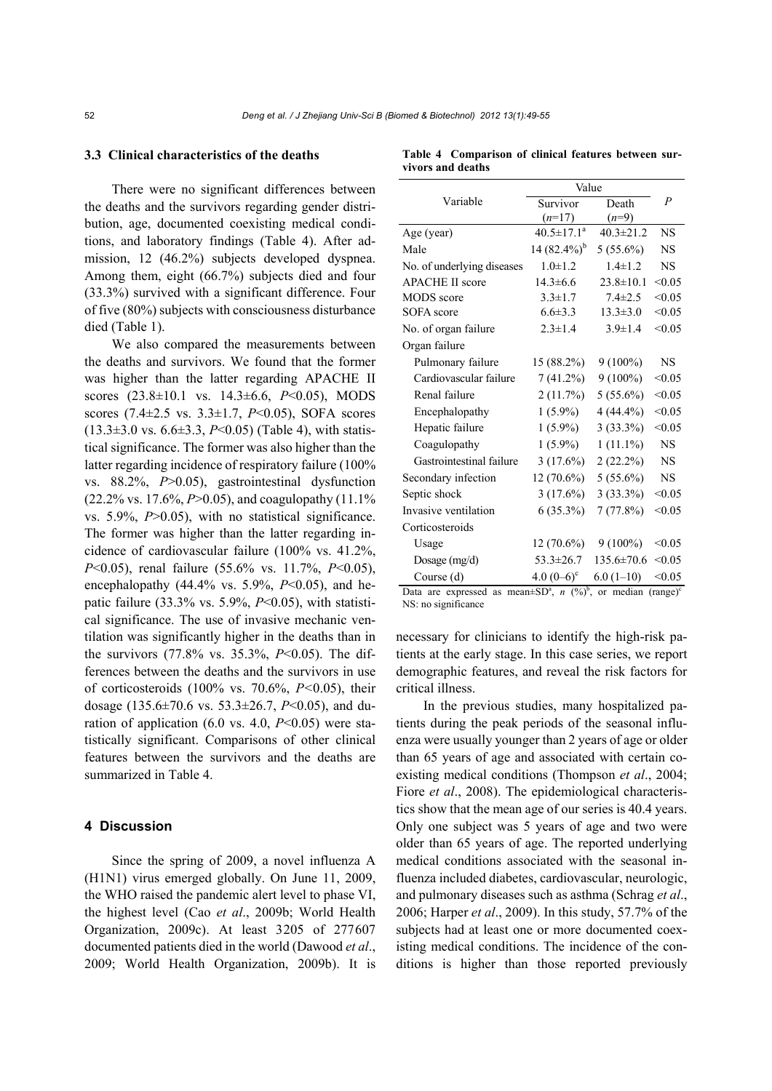# **3.3 Clinical characteristics of the deaths**

There were no significant differences between the deaths and the survivors regarding gender distribution, age, documented coexisting medical conditions, and laboratory findings (Table 4). After admission, 12 (46.2%) subjects developed dyspnea. Among them, eight (66.7%) subjects died and four (33.3%) survived with a significant difference. Four of five (80%) subjects with consciousness disturbance died (Table 1).

We also compared the measurements between the deaths and survivors. We found that the former was higher than the latter regarding APACHE II scores (23.8±10.1 vs. 14.3±6.6, *P*<0.05), MODS scores (7.4±2.5 vs. 3.3±1.7, *P*<0.05), SOFA scores (13.3±3.0 vs. 6.6±3.3, *P*<0.05) (Table 4), with statistical significance. The former was also higher than the latter regarding incidence of respiratory failure (100%) vs. 88.2%, *P*>0.05), gastrointestinal dysfunction (22.2% vs. 17.6%, *P*>0.05), and coagulopathy (11.1% vs. 5.9%, *P*>0.05), with no statistical significance. The former was higher than the latter regarding incidence of cardiovascular failure (100% vs. 41.2%, *P*<0.05), renal failure (55.6% vs. 11.7%, *P*<0.05), encephalopathy (44.4% vs. 5.9%, *P*<0.05), and hepatic failure (33.3% vs. 5.9%, *P*<0.05), with statistical significance. The use of invasive mechanic ventilation was significantly higher in the deaths than in the survivors (77.8% vs. 35.3%, *P*<0.05). The differences between the deaths and the survivors in use of corticosteroids (100% vs. 70.6%, *P<*0.05), their dosage (135.6±70.6 vs. 53.3±26.7, *P*<0.05), and duration of application  $(6.0 \text{ vs. } 4.0, P<0.05)$  were statistically significant. Comparisons of other clinical features between the survivors and the deaths are summarized in Table 4.

#### **4 Discussion**

Since the spring of 2009, a novel influenza A (H1N1) virus emerged globally. On June 11, 2009, the WHO raised the pandemic alert level to phase VI, the highest level (Cao *et al*., 2009b; World Health Organization, 2009c). At least 3205 of 277607 documented patients died in the world (Dawood *et al*., 2009; World Health Organization, 2009b). It is

**Table 4 Comparison of clinical features between survivors and deaths**

|                                                    | Value             |                          |                |
|----------------------------------------------------|-------------------|--------------------------|----------------|
| Variable                                           | Survivor          | Death                    | $\overline{P}$ |
|                                                    | $(n=17)$          | $(n=9)$                  |                |
| Age (year)                                         | $40.5 \pm 17.1^a$ | $40.3 \pm 21.2$          | <b>NS</b>      |
| Male                                               | $14(82.4\%)^b$    | $5(55.6\%)$              | <b>NS</b>      |
| No. of underlying diseases                         | $1.0 \pm 1.2$     | $1.4 \pm 1.2$            | NS.            |
| <b>APACHE II score</b>                             | $14.3 \pm 6.6$    | $23.8 \pm 10.1$          | < 0.05         |
| MODS score                                         | $3.3 \pm 1.7$     | $7.4 \pm 2.5$            | < 0.05         |
| SOFA score                                         | $6.6 \pm 3.3$     | $13.3 \pm 3.0$           | < 0.05         |
| No. of organ failure                               | $2.3 \pm 1.4$     | $3.9 \pm 1.4$            | < 0.05         |
| Organ failure                                      |                   |                          |                |
| Pulmonary failure                                  | 15 (88.2%)        | $9(100\%)$               | NS.            |
| Cardiovascular failure                             | $7(41.2\%)$       | $9(100\%)$               | < 0.05         |
| Renal failure                                      | 2(11.7%)          | $5(55.6\%)$              | < 0.05         |
| Encephalopathy                                     | $1(5.9\%)$        | $4(44.4\%)$              | < 0.05         |
| Hepatic failure                                    | $1(5.9\%)$        | 3(33.3%)                 | < 0.05         |
| Coagulopathy                                       | $1(5.9\%)$        | $1(11.1\%)$              | NS.            |
| Gastrointestinal failure                           | 3(17.6%)          | $2(22.2\%)$              | NS.            |
| Secondary infection                                | $12(70.6\%)$      | $5(55.6\%)$              | NS.            |
| Septic shock                                       | 3(17.6%)          | 3(33.3%)                 | < 0.05         |
| Invasive ventilation                               | $6(35.3\%)$       | 7(77.8%)                 | < 0.05         |
| Corticosteroids                                    |                   |                          |                |
| Usage                                              | $12(70.6\%)$      | $9(100\%)$               | < 0.05         |
| Dosage (mg/d)                                      | $53.3 \pm 26.7$   | $135.6 \pm 70.6$         | < 0.05         |
| Course (d)                                         | 4.0 $(0-6)^c$     | $6.0(1-10)$              | < 0.05         |
| Dete are expressed as mean+ $CD2$ u $(0/\sqrt{b})$ |                   | $or$ modian $(rana)^{c}$ |                |

Data are expressed as mean $\pm SD^a$ , *n* (%)<sup>b</sup>, or median (range)<sup>c</sup> NS: no significance

necessary for clinicians to identify the high-risk patients at the early stage. In this case series, we report demographic features, and reveal the risk factors for critical illness.

In the previous studies, many hospitalized patients during the peak periods of the seasonal influenza were usually younger than 2 years of age or older than 65 years of age and associated with certain coexisting medical conditions (Thompson *et al*., 2004; Fiore *et al.*, 2008). The epidemiological characteristics show that the mean age of our series is 40.4 years. Only one subject was 5 years of age and two were older than 65 years of age. The reported underlying medical conditions associated with the seasonal influenza included diabetes, cardiovascular, neurologic, and pulmonary diseases such as asthma (Schrag *et al*., 2006; Harper *et al*., 2009). In this study, 57.7% of the subjects had at least one or more documented coexisting medical conditions. The incidence of the conditions is higher than those reported previously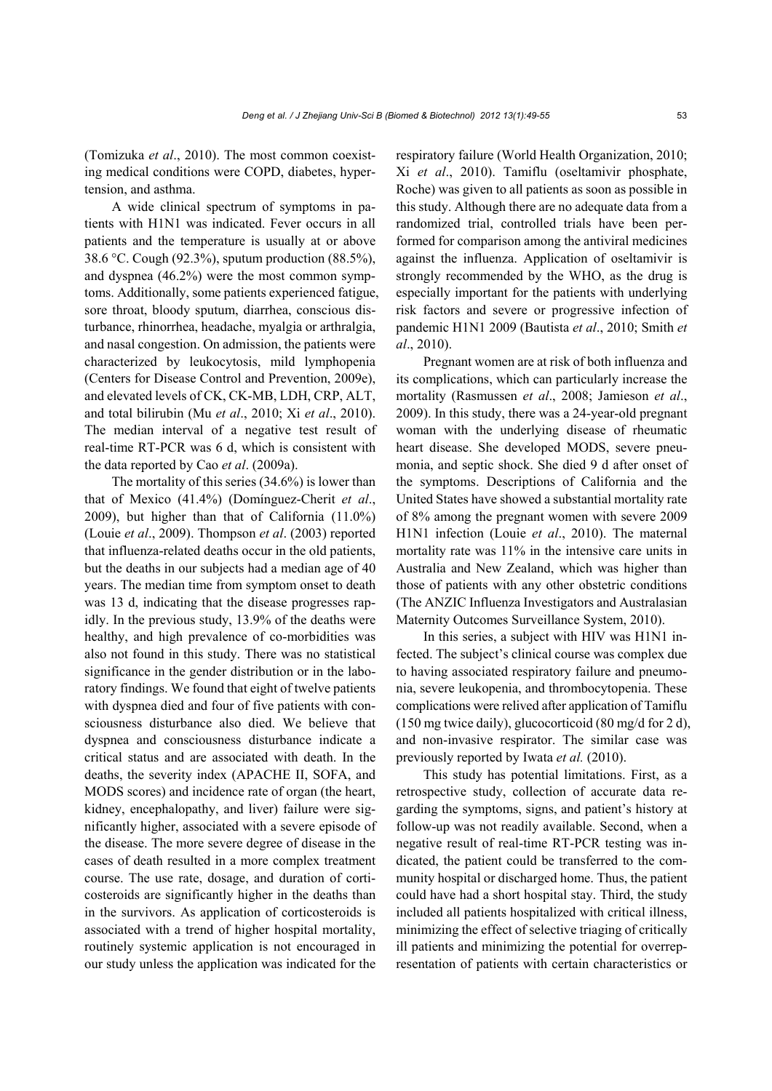(Tomizuka *et al*., 2010). The most common coexisting medical conditions were COPD, diabetes, hypertension, and asthma.

A wide clinical spectrum of symptoms in patients with H1N1 was indicated. Fever occurs in all patients and the temperature is usually at or above 38.6 °C. Cough (92.3%), sputum production (88.5%), and dyspnea (46.2%) were the most common symptoms. Additionally, some patients experienced fatigue, sore throat, bloody sputum, diarrhea, conscious disturbance, rhinorrhea, headache, myalgia or arthralgia, and nasal congestion. On admission, the patients were characterized by leukocytosis, mild lymphopenia (Centers for Disease Control and Prevention, 2009e), and elevated levels of CK, CK-MB, LDH, CRP, ALT, and total bilirubin (Mu *et al*., 2010; Xi *et al*., 2010). The median interval of a negative test result of real-time RT-PCR was 6 d, which is consistent with the data reported by Cao *et al*. (2009a).

The mortality of this series (34.6%) is lower than that of Mexico (41.4%) (Domínguez-Cherit *et al*., 2009), but higher than that of California (11.0%) (Louie *et al*., 2009). Thompson *et al*. (2003) reported that influenza-related deaths occur in the old patients, but the deaths in our subjects had a median age of 40 years. The median time from symptom onset to death was 13 d, indicating that the disease progresses rapidly. In the previous study, 13.9% of the deaths were healthy, and high prevalence of co-morbidities was also not found in this study. There was no statistical significance in the gender distribution or in the laboratory findings. We found that eight of twelve patients with dyspnea died and four of five patients with consciousness disturbance also died. We believe that dyspnea and consciousness disturbance indicate a critical status and are associated with death. In the deaths, the severity index (APACHE II, SOFA, and MODS scores) and incidence rate of organ (the heart, kidney, encephalopathy, and liver) failure were significantly higher, associated with a severe episode of the disease. The more severe degree of disease in the cases of death resulted in a more complex treatment course. The use rate, dosage, and duration of corticosteroids are significantly higher in the deaths than in the survivors. As application of corticosteroids is associated with a trend of higher hospital mortality, routinely systemic application is not encouraged in our study unless the application was indicated for the

respiratory failure (World Health Organization, 2010; Xi *et al*., 2010). Tamiflu (oseltamivir phosphate, Roche) was given to all patients as soon as possible in this study. Although there are no adequate data from a randomized trial, controlled trials have been performed for comparison among the antiviral medicines against the influenza. Application of oseltamivir is strongly recommended by the WHO, as the drug is especially important for the patients with underlying risk factors and severe or progressive infection of pandemic H1N1 2009 (Bautista *et al*., 2010; Smith *et al*., 2010).

Pregnant women are at risk of both influenza and its complications, which can particularly increase the mortality (Rasmussen *et al*., 2008; Jamieson *et al*., 2009). In this study, there was a 24-year-old pregnant woman with the underlying disease of rheumatic heart disease. She developed MODS, severe pneumonia, and septic shock. She died 9 d after onset of the symptoms. Descriptions of California and the United States have showed a substantial mortality rate of 8% among the pregnant women with severe 2009 H1N1 infection (Louie *et al*., 2010). The maternal mortality rate was 11% in the intensive care units in Australia and New Zealand, which was higher than those of patients with any other obstetric conditions (The ANZIC Influenza Investigators and Australasian Maternity Outcomes Surveillance System, 2010).

In this series, a subject with HIV was H1N1 infected. The subject's clinical course was complex due to having associated respiratory failure and pneumonia, severe leukopenia, and thrombocytopenia. These complications were relived after application of Tamiflu (150 mg twice daily), glucocorticoid (80 mg/d for 2 d), and non-invasive respirator. The similar case was previously reported by Iwata *et al.* (2010).

This study has potential limitations. First, as a retrospective study, collection of accurate data regarding the symptoms, signs, and patient's history at follow-up was not readily available. Second, when a negative result of real-time RT-PCR testing was indicated, the patient could be transferred to the community hospital or discharged home. Thus, the patient could have had a short hospital stay. Third, the study included all patients hospitalized with critical illness, minimizing the effect of selective triaging of critically ill patients and minimizing the potential for overrepresentation of patients with certain characteristics or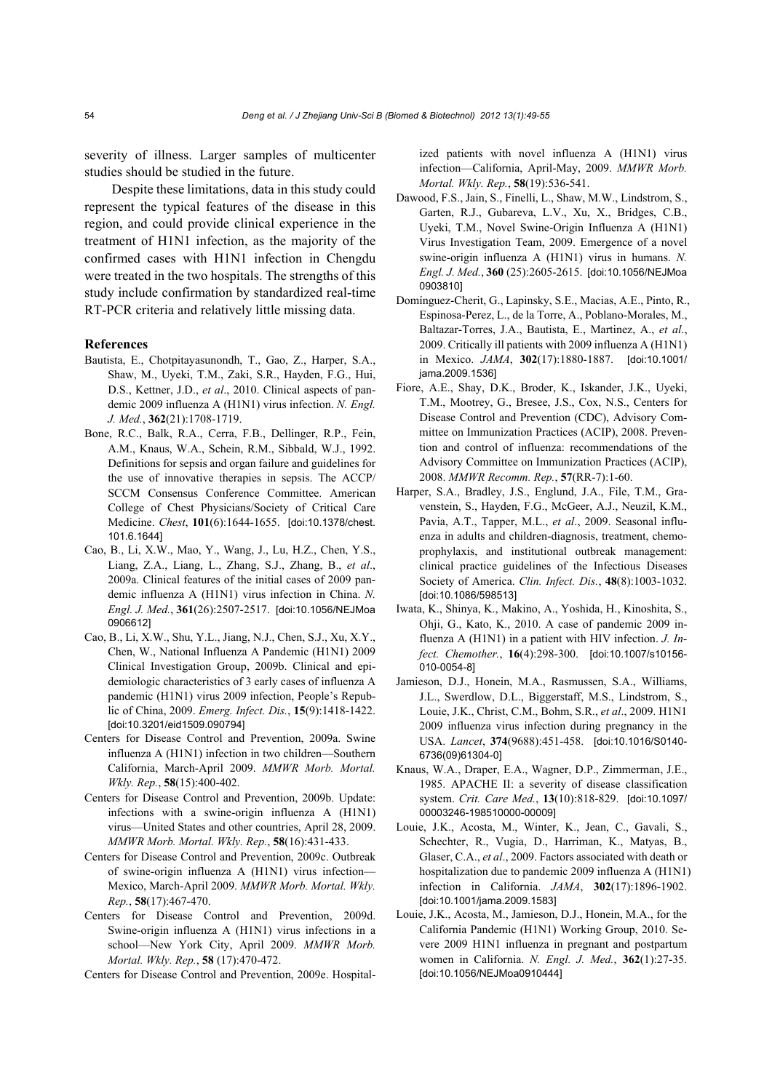severity of illness. Larger samples of multicenter studies should be studied in the future.

Despite these limitations, data in this study could represent the typical features of the disease in this region, and could provide clinical experience in the treatment of H1N1 infection, as the majority of the confirmed cases with H1N1 infection in Chengdu were treated in the two hospitals. The strengths of this study include confirmation by standardized real-time RT-PCR criteria and relatively little missing data.

#### **References**

- Bautista, E., Chotpitayasunondh, T., Gao, Z., Harper, S.A., Shaw, M., Uyeki, T.M., Zaki, S.R., Hayden, F.G., Hui, D.S., Kettner, J.D., *et al*., 2010. Clinical aspects of pandemic 2009 influenza A (H1N1) virus infection. *N. Engl. J. Med.*, **362**(21):1708-1719.
- Bone, R.C., Balk, R.A., Cerra, F.B., Dellinger, R.P., Fein, A.M., Knaus, W.A., Schein, R.M., Sibbald, W.J., 1992. Definitions for sepsis and organ failure and guidelines for the use of innovative therapies in sepsis. The ACCP/ SCCM Consensus Conference Committee. American College of Chest Physicians/Society of Critical Care Medicine. *Chest*, **101**(6):1644-1655. [doi:10.1378/chest. 101.6.1644]
- Cao, B., Li, X.W., Mao, Y., Wang, J., Lu, H.Z., Chen, Y.S., Liang, Z.A., Liang, L., Zhang, S.J., Zhang, B., *et al*., 2009a. Clinical features of the initial cases of 2009 pandemic influenza A (H1N1) virus infection in China. *N. Engl. J. Med.*, **361**(26):2507-2517. [doi:10.1056/NEJMoa 0906612]
- Cao, B., Li, X.W., Shu, Y.L., Jiang, N.J., Chen, S.J., Xu, X.Y., Chen, W., National Influenza A Pandemic (H1N1) 2009 Clinical Investigation Group, 2009b. Clinical and epidemiologic characteristics of 3 early cases of influenza A pandemic (H1N1) virus 2009 infection, People's Republic of China, 2009. *Emerg. Infect. Dis.*, **15**(9):1418-1422. [doi:10.3201/eid1509.090794]
- Centers for Disease Control and Prevention, 2009a. Swine influenza A (H1N1) infection in two children—Southern California, March-April 2009. *MMWR Morb. Mortal. Wkly. Rep.*, **58**(15):400-402.
- Centers for Disease Control and Prevention, 2009b. Update: infections with a swine-origin influenza A (H1N1) virus—United States and other countries, April 28, 2009. *MMWR Morb. Mortal. Wkly. Rep.*, **58**(16):431-433.
- Centers for Disease Control and Prevention, 2009c. Outbreak of swine-origin influenza A (H1N1) virus infection— Mexico, March-April 2009. *MMWR Morb. Mortal. Wkly. Rep.*, **58**(17):467-470.
- Centers for Disease Control and Prevention, 2009d. Swine-origin influenza A (H1N1) virus infections in a school—New York City, April 2009. *MMWR Morb. Mortal. Wkly. Rep.*, **58** (17):470-472.

Centers for Disease Control and Prevention, 2009e. Hospital-

ized patients with novel influenza A (H1N1) virus infection—California, April-May, 2009. *MMWR Morb. Mortal. Wkly. Rep.*, **58**(19):536-541.

- Dawood, F.S., Jain, S., Finelli, L., Shaw, M.W., Lindstrom, S., Garten, R.J., Gubareva, L.V., Xu, X., Bridges, C.B., Uyeki, T.M., Novel Swine-Origin Influenza A (H1N1) Virus Investigation Team, 2009. Emergence of a novel swine-origin influenza A (H1N1) virus in humans. *N. Engl. J. Med.*, **360** (25):2605-2615. [doi:10.1056/NEJMoa 0903810]
- Domínguez-Cherit, G., Lapinsky, S.E., Macias, A.E., Pinto, R., Espinosa-Perez, L., de la Torre, A., Poblano-Morales, M., Baltazar-Torres, J.A., Bautista, E., Martinez, A., *et al*., 2009. Critically ill patients with 2009 influenza A (H1N1) in Mexico. *JAMA*, **302**(17):1880-1887. [doi:10.1001/ jama.2009.1536]
- Fiore, A.E., Shay, D.K., Broder, K., Iskander, J.K., Uyeki, T.M., Mootrey, G., Bresee, J.S., Cox, N.S., Centers for Disease Control and Prevention (CDC), Advisory Committee on Immunization Practices (ACIP), 2008. Prevention and control of influenza: recommendations of the Advisory Committee on Immunization Practices (ACIP), 2008. *MMWR Recomm. Rep.*, **57**(RR-7):1-60.
- Harper, S.A., Bradley, J.S., Englund, J.A., File, T.M., Gravenstein, S., Hayden, F.G., McGeer, A.J., Neuzil, K.M., Pavia, A.T., Tapper, M.L., *et al*., 2009. Seasonal influenza in adults and children-diagnosis, treatment, chemoprophylaxis, and institutional outbreak management: clinical practice guidelines of the Infectious Diseases Society of America. *Clin. Infect. Dis.*, **48**(8):1003-1032. [doi:10.1086/598513]
- Iwata, K., Shinya, K., Makino, A., Yoshida, H., Kinoshita, S., Ohji, G., Kato, K., 2010. A case of pandemic 2009 influenza A (H1N1) in a patient with HIV infection. *J. Infect. Chemother.*, **16**(4):298-300. [doi:10.1007/s10156- 010-0054-8]
- Jamieson, D.J., Honein, M.A., Rasmussen, S.A., Williams, J.L., Swerdlow, D.L., Biggerstaff, M.S., Lindstrom, S., Louie, J.K., Christ, C.M., Bohm, S.R., *et al*., 2009. H1N1 2009 influenza virus infection during pregnancy in the USA. *Lancet*, **374**(9688):451-458. [doi:10.1016/S0140- 6736(09)61304-0]
- Knaus, W.A., Draper, E.A., Wagner, D.P., Zimmerman, J.E., 1985. APACHE II: a severity of disease classification system. *Crit. Care Med.*, **13**(10):818-829. [doi:10.1097/ 00003246-198510000-00009]
- Louie, J.K., Acosta, M., Winter, K., Jean, C., Gavali, S., Schechter, R., Vugia, D., Harriman, K., Matyas, B., Glaser, C.A., *et al*., 2009. Factors associated with death or hospitalization due to pandemic 2009 influenza A (H1N1) infection in California. *JAMA*, **302**(17):1896-1902. [doi:10.1001/jama.2009.1583]
- Louie, J.K., Acosta, M., Jamieson, D.J., Honein, M.A., for the California Pandemic (H1N1) Working Group, 2010. Severe 2009 H1N1 influenza in pregnant and postpartum women in California. *N. Engl. J. Med.*, **362**(1):27-35. [doi:10.1056/NEJMoa0910444]